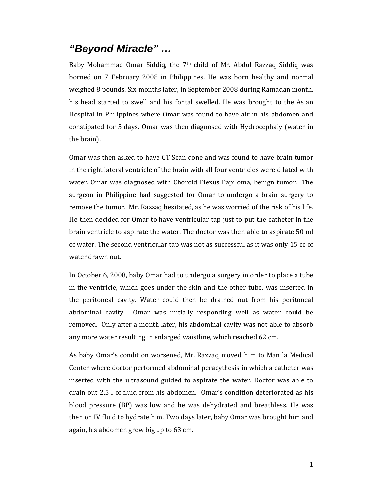## *"Beyond Miracle" …*

Baby Mohammad Omar Siddiq, the 7<sup>th</sup> child of Mr. Abdul Razzaq Siddiq was borned on 7 February 2008 in Philippines. He was born healthy and normal weighed 8 pounds. Six months later, in September 2008 during Ramadan month, his head started to swell and his fontal swelled. He was brought to the Asian Hospital in Philippines where Omar was found to have air in his abdomen and constipated for 5 days. Omar was then diagnosed with Hydrocephaly (water in the brain).

Omar was then asked to have CT Scan done and was found to have brain tumor in the right lateral ventricle of the brain with all four ventricles were dilated with water. Omar was diagnosed with Choroid Plexus Papiloma, benign tumor. The surgeon in Philippine had suggested for Omar to undergo a brain surgery to remove the tumor. Mr. Razzaq hesitated, as he was worried of the risk of his life. He then decided for Omar to have ventricular tap just to put the catheter in the brain ventricle to aspirate the water. The doctor was then able to aspirate 50 ml of water. The second ventricular tap was not as successful as it was only 15 cc of water drawn out.

In October 6, 2008, baby Omar had to undergo a surgery in order to place a tube in the ventricle, which goes under the skin and the other tube, was inserted in the peritoneal cavity. Water could then be drained out from his peritoneal abdominal cavity. Omar was initially responding well as water could be removed. Only after a month later, his abdominal cavity was not able to absorb any more water resulting in enlarged waistline, which reached 62 cm.

As baby Omar's condition worsened, Mr. Razzaq moved him to Manila Medical Center where doctor performed abdominal peracythesis in which a catheter was inserted with the ultrasound guided to aspirate the water. Doctor was able to drain out 2.5 l of fluid from his abdomen. Omar's condition deteriorated as his blood pressure (BP) was low and he was dehydrated and breathless. He was then on IV fluid to hydrate him. Two days later, baby Omar was brought him and again, his abdomen grew big up to 63 cm.